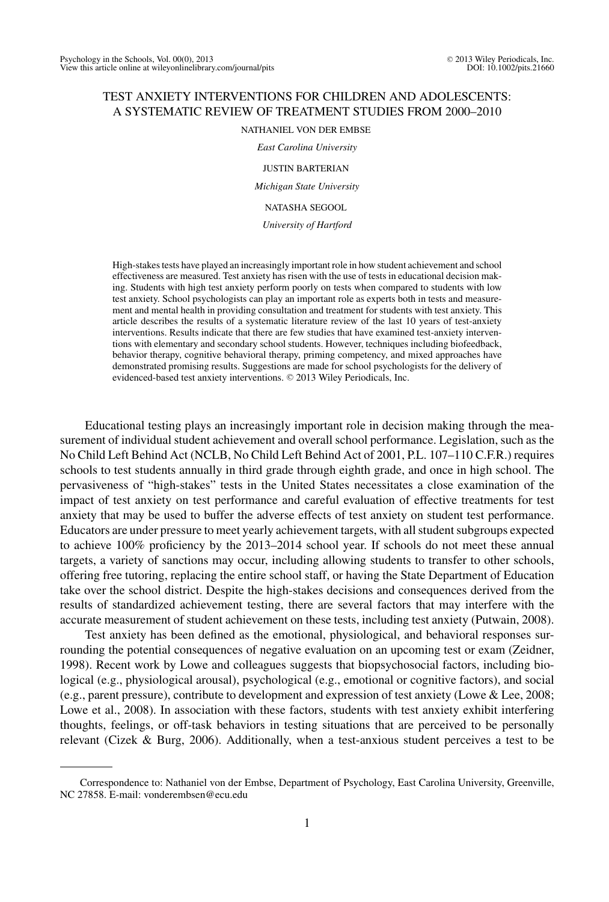## TEST ANXIETY INTERVENTIONS FOR CHILDREN AND ADOLESCENTS: A SYSTEMATIC REVIEW OF TREATMENT STUDIES FROM 2000–2010

NATHANIEL VON DER EMBSE

*East Carolina University*

JUSTIN BARTERIAN

*Michigan State University*

NATASHA SEGOOL

*University of Hartford*

High-stakes tests have played an increasingly important role in how student achievement and school effectiveness are measured. Test anxiety has risen with the use of tests in educational decision making. Students with high test anxiety perform poorly on tests when compared to students with low test anxiety. School psychologists can play an important role as experts both in tests and measurement and mental health in providing consultation and treatment for students with test anxiety. This article describes the results of a systematic literature review of the last 10 years of test-anxiety interventions. Results indicate that there are few studies that have examined test-anxiety interventions with elementary and secondary school students. However, techniques including biofeedback, behavior therapy, cognitive behavioral therapy, priming competency, and mixed approaches have demonstrated promising results. Suggestions are made for school psychologists for the delivery of evidenced-based test anxiety interventions. © 2013 Wiley Periodicals, Inc.

Educational testing plays an increasingly important role in decision making through the measurement of individual student achievement and overall school performance. Legislation, such as the No Child Left Behind Act (NCLB, No Child Left Behind Act of 2001, P.L. 107–110 C.F.R.) requires schools to test students annually in third grade through eighth grade, and once in high school. The pervasiveness of "high-stakes" tests in the United States necessitates a close examination of the impact of test anxiety on test performance and careful evaluation of effective treatments for test anxiety that may be used to buffer the adverse effects of test anxiety on student test performance. Educators are under pressure to meet yearly achievement targets, with all student subgroups expected to achieve 100% proficiency by the 2013–2014 school year. If schools do not meet these annual targets, a variety of sanctions may occur, including allowing students to transfer to other schools, offering free tutoring, replacing the entire school staff, or having the State Department of Education take over the school district. Despite the high-stakes decisions and consequences derived from the results of standardized achievement testing, there are several factors that may interfere with the accurate measurement of student achievement on these tests, including test anxiety (Putwain, 2008).

Test anxiety has been defined as the emotional, physiological, and behavioral responses surrounding the potential consequences of negative evaluation on an upcoming test or exam (Zeidner, 1998). Recent work by Lowe and colleagues suggests that biopsychosocial factors, including biological (e.g., physiological arousal), psychological (e.g., emotional or cognitive factors), and social (e.g., parent pressure), contribute to development and expression of test anxiety (Lowe & Lee, 2008; Lowe et al., 2008). In association with these factors, students with test anxiety exhibit interfering thoughts, feelings, or off-task behaviors in testing situations that are perceived to be personally relevant (Cizek & Burg, 2006). Additionally, when a test-anxious student perceives a test to be

Correspondence to: Nathaniel von der Embse, Department of Psychology, East Carolina University, Greenville, NC 27858. E-mail: vonderembsen@ecu.edu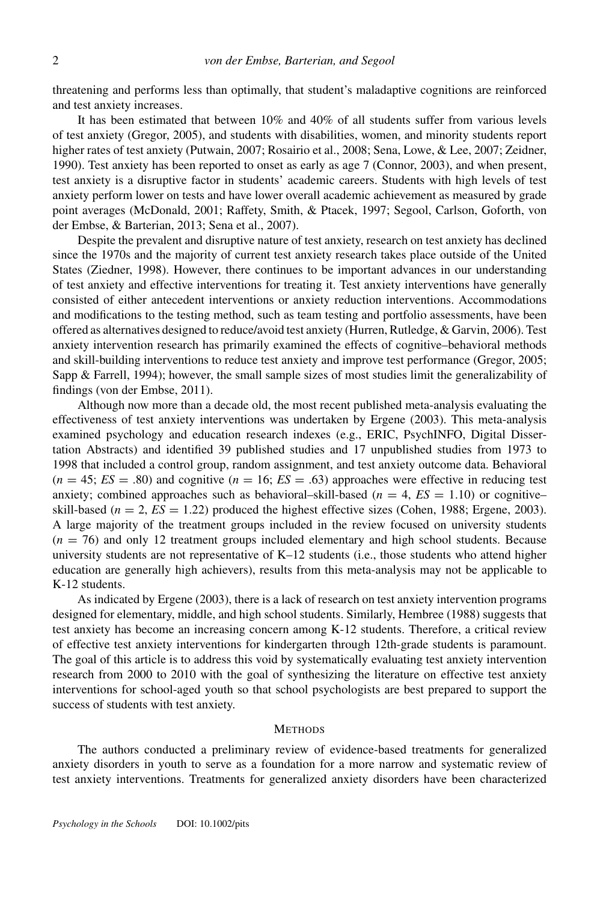threatening and performs less than optimally, that student's maladaptive cognitions are reinforced and test anxiety increases.

It has been estimated that between 10% and 40% of all students suffer from various levels of test anxiety (Gregor, 2005), and students with disabilities, women, and minority students report higher rates of test anxiety (Putwain, 2007; Rosairio et al., 2008; Sena, Lowe, & Lee, 2007; Zeidner, 1990). Test anxiety has been reported to onset as early as age 7 (Connor, 2003), and when present, test anxiety is a disruptive factor in students' academic careers. Students with high levels of test anxiety perform lower on tests and have lower overall academic achievement as measured by grade point averages (McDonald, 2001; Raffety, Smith, & Ptacek, 1997; Segool, Carlson, Goforth, von der Embse, & Barterian, 2013; Sena et al., 2007).

Despite the prevalent and disruptive nature of test anxiety, research on test anxiety has declined since the 1970s and the majority of current test anxiety research takes place outside of the United States (Ziedner, 1998). However, there continues to be important advances in our understanding of test anxiety and effective interventions for treating it. Test anxiety interventions have generally consisted of either antecedent interventions or anxiety reduction interventions. Accommodations and modifications to the testing method, such as team testing and portfolio assessments, have been offered as alternatives designed to reduce/avoid test anxiety (Hurren, Rutledge, & Garvin, 2006). Test anxiety intervention research has primarily examined the effects of cognitive–behavioral methods and skill-building interventions to reduce test anxiety and improve test performance (Gregor, 2005; Sapp & Farrell, 1994); however, the small sample sizes of most studies limit the generalizability of findings (von der Embse, 2011).

Although now more than a decade old, the most recent published meta-analysis evaluating the effectiveness of test anxiety interventions was undertaken by Ergene (2003). This meta-analysis examined psychology and education research indexes (e.g., ERIC, PsychINFO, Digital Dissertation Abstracts) and identified 39 published studies and 17 unpublished studies from 1973 to 1998 that included a control group, random assignment, and test anxiety outcome data. Behavioral  $(n = 45; ES = .80)$  and cognitive  $(n = 16; ES = .63)$  approaches were effective in reducing test anxiety; combined approaches such as behavioral–skill-based ( $n = 4$ ,  $ES = 1.10$ ) or cognitive– skill-based ( $n = 2$ ,  $ES = 1.22$ ) produced the highest effective sizes (Cohen, 1988; Ergene, 2003). A large majority of the treatment groups included in the review focused on university students (*n* = 76) and only 12 treatment groups included elementary and high school students. Because university students are not representative of K–12 students (i.e., those students who attend higher education are generally high achievers), results from this meta-analysis may not be applicable to K-12 students.

As indicated by Ergene (2003), there is a lack of research on test anxiety intervention programs designed for elementary, middle, and high school students. Similarly, Hembree (1988) suggests that test anxiety has become an increasing concern among K-12 students. Therefore, a critical review of effective test anxiety interventions for kindergarten through 12th-grade students is paramount. The goal of this article is to address this void by systematically evaluating test anxiety intervention research from 2000 to 2010 with the goal of synthesizing the literature on effective test anxiety interventions for school-aged youth so that school psychologists are best prepared to support the success of students with test anxiety.

#### **METHODS**

The authors conducted a preliminary review of evidence-based treatments for generalized anxiety disorders in youth to serve as a foundation for a more narrow and systematic review of test anxiety interventions. Treatments for generalized anxiety disorders have been characterized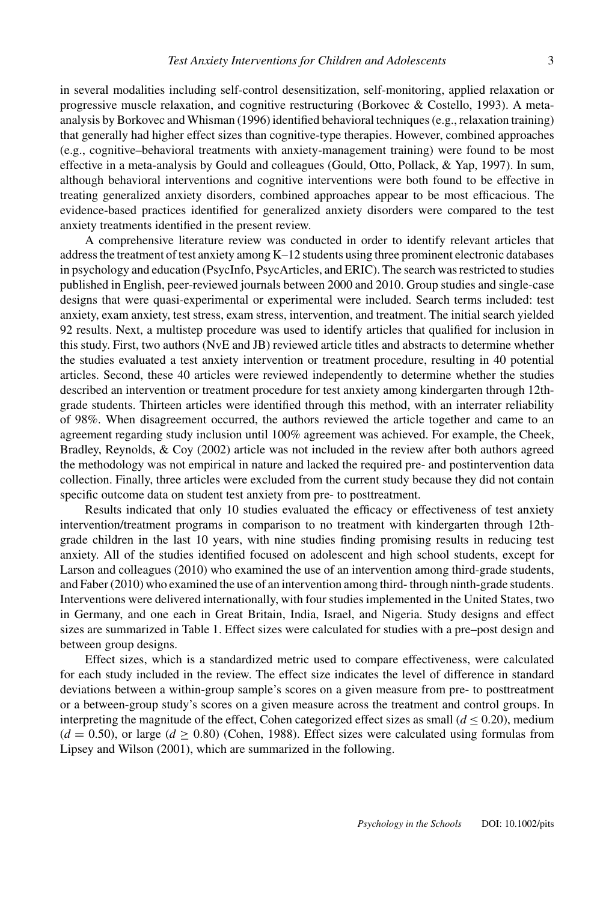in several modalities including self-control desensitization, self-monitoring, applied relaxation or progressive muscle relaxation, and cognitive restructuring (Borkovec & Costello, 1993). A metaanalysis by Borkovec and Whisman (1996) identified behavioral techniques (e.g., relaxation training) that generally had higher effect sizes than cognitive-type therapies. However, combined approaches (e.g., cognitive–behavioral treatments with anxiety-management training) were found to be most effective in a meta-analysis by Gould and colleagues (Gould, Otto, Pollack, & Yap, 1997). In sum, although behavioral interventions and cognitive interventions were both found to be effective in treating generalized anxiety disorders, combined approaches appear to be most efficacious. The evidence-based practices identified for generalized anxiety disorders were compared to the test anxiety treatments identified in the present review.

A comprehensive literature review was conducted in order to identify relevant articles that address the treatment of test anxiety among K–12 students using three prominent electronic databases in psychology and education (PsycInfo, PsycArticles, and ERIC). The search was restricted to studies published in English, peer-reviewed journals between 2000 and 2010. Group studies and single-case designs that were quasi-experimental or experimental were included. Search terms included: test anxiety, exam anxiety, test stress, exam stress, intervention, and treatment. The initial search yielded 92 results. Next, a multistep procedure was used to identify articles that qualified for inclusion in this study. First, two authors (NvE and JB) reviewed article titles and abstracts to determine whether the studies evaluated a test anxiety intervention or treatment procedure, resulting in 40 potential articles. Second, these 40 articles were reviewed independently to determine whether the studies described an intervention or treatment procedure for test anxiety among kindergarten through 12thgrade students. Thirteen articles were identified through this method, with an interrater reliability of 98%. When disagreement occurred, the authors reviewed the article together and came to an agreement regarding study inclusion until 100% agreement was achieved. For example, the Cheek, Bradley, Reynolds, & Coy (2002) article was not included in the review after both authors agreed the methodology was not empirical in nature and lacked the required pre- and postintervention data collection. Finally, three articles were excluded from the current study because they did not contain specific outcome data on student test anxiety from pre- to posttreatment.

Results indicated that only 10 studies evaluated the efficacy or effectiveness of test anxiety intervention/treatment programs in comparison to no treatment with kindergarten through 12thgrade children in the last 10 years, with nine studies finding promising results in reducing test anxiety. All of the studies identified focused on adolescent and high school students, except for Larson and colleagues (2010) who examined the use of an intervention among third-grade students, and Faber (2010) who examined the use of an intervention among third- through ninth-grade students. Interventions were delivered internationally, with four studies implemented in the United States, two in Germany, and one each in Great Britain, India, Israel, and Nigeria. Study designs and effect sizes are summarized in Table 1. Effect sizes were calculated for studies with a pre–post design and between group designs.

Effect sizes, which is a standardized metric used to compare effectiveness, were calculated for each study included in the review. The effect size indicates the level of difference in standard deviations between a within-group sample's scores on a given measure from pre- to posttreatment or a between-group study's scores on a given measure across the treatment and control groups. In interpreting the magnitude of the effect, Cohen categorized effect sizes as small ( $d \le 0.20$ ), medium  $(d = 0.50)$ , or large  $(d \ge 0.80)$  (Cohen, 1988). Effect sizes were calculated using formulas from Lipsey and Wilson (2001), which are summarized in the following.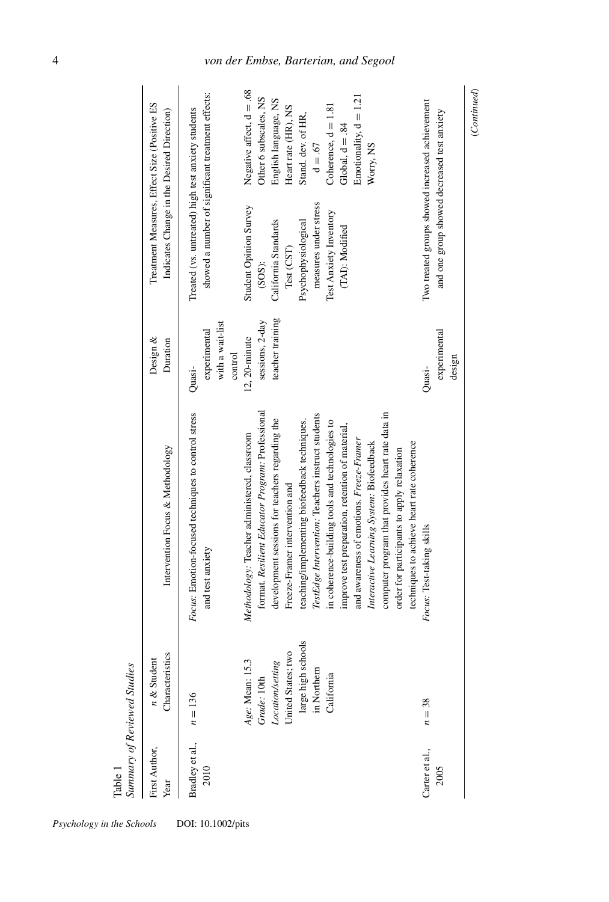| Table                   | <b>Summary of Reviewed Studies</b>                                                                                                                    |                                                                                                                                                                                                                                                                                                                                                                                                                                                                                                                                                                                                                                             |                                                         |                                                                                                                                                                               |                                                                                                                                                                                                                               |
|-------------------------|-------------------------------------------------------------------------------------------------------------------------------------------------------|---------------------------------------------------------------------------------------------------------------------------------------------------------------------------------------------------------------------------------------------------------------------------------------------------------------------------------------------------------------------------------------------------------------------------------------------------------------------------------------------------------------------------------------------------------------------------------------------------------------------------------------------|---------------------------------------------------------|-------------------------------------------------------------------------------------------------------------------------------------------------------------------------------|-------------------------------------------------------------------------------------------------------------------------------------------------------------------------------------------------------------------------------|
| First Author,<br>Year   | Characteristics<br>$n \&$ Student                                                                                                                     | Intervention Focus & Methodology                                                                                                                                                                                                                                                                                                                                                                                                                                                                                                                                                                                                            | Design &<br>Duration                                    |                                                                                                                                                                               | Treatment Measures, Effect Size (Positive ES<br>Indicates Change in the Desired Direction)                                                                                                                                    |
| Bradley et al.,<br>2010 | $n = 136$                                                                                                                                             | Focus: Emotion-focused techniques to control stress<br>and test anxiety                                                                                                                                                                                                                                                                                                                                                                                                                                                                                                                                                                     | with a wait-list<br>experimental<br>control<br>Quasi-   | Treated (vs. untreated) high test anxiety students                                                                                                                            | showed a number of significant treatment effects:                                                                                                                                                                             |
|                         | $\overline{\mathbf{S}}$<br>large high school<br>United States; two<br>Age: Mean: 15.3<br>Location/setting<br>in Northern<br>California<br>Grade: 10th | format. Resilient Educator Program: Professional<br>computer program that provides heart rate data in<br>TestEdge Intervention: Teachers instruct students<br>development sessions for teachers regarding the<br>teaching/implementing biofeedback techniques.<br>in coherence-building tools and technologies to<br>improve test preparation, retention of material,<br>Methodology: Teacher administered, classroom<br>and awareness of emotions. Freeze-Framer<br>techniques to achieve heart rate coherence<br>Interactive Learning System: Biofeedback<br>order for participants to apply relaxation<br>Freeze-Framer intervention and | teacher training<br>sessions, 2-day<br>$12, 20$ -minute | measures under stress<br><b>Student Opinion Survey</b><br>Test Anxiety Inventory<br>Psychophysiological<br>California Standards<br>(TAI): Modified<br>Test (CST)<br>$(SOS)$ : | Negative affect, d = .68<br>Emotionality, $d = 1.21$<br>Other 6 subscales, NS<br>English language, NS<br>Coherence, $d = 1.81$<br>Heart rate (HR), NS<br>Stand. dev. of HR,<br>Global, $d = .84$<br>$\rm d= .67$<br>Worry, NS |
| Carter et al.,<br>2005  | $n=38$                                                                                                                                                | Focus: Test-taking skills                                                                                                                                                                                                                                                                                                                                                                                                                                                                                                                                                                                                                   | experimental<br>design<br>Quasi-                        | Two treated groups showed increased achievement<br>and one group showed decreased test anxiety                                                                                |                                                                                                                                                                                                                               |
|                         |                                                                                                                                                       |                                                                                                                                                                                                                                                                                                                                                                                                                                                                                                                                                                                                                                             |                                                         |                                                                                                                                                                               | (Continued)                                                                                                                                                                                                                   |

## 4 *von der Embse, Barterian, and Segool*

*Psychology in the Schools* DOI: 10.1002/pits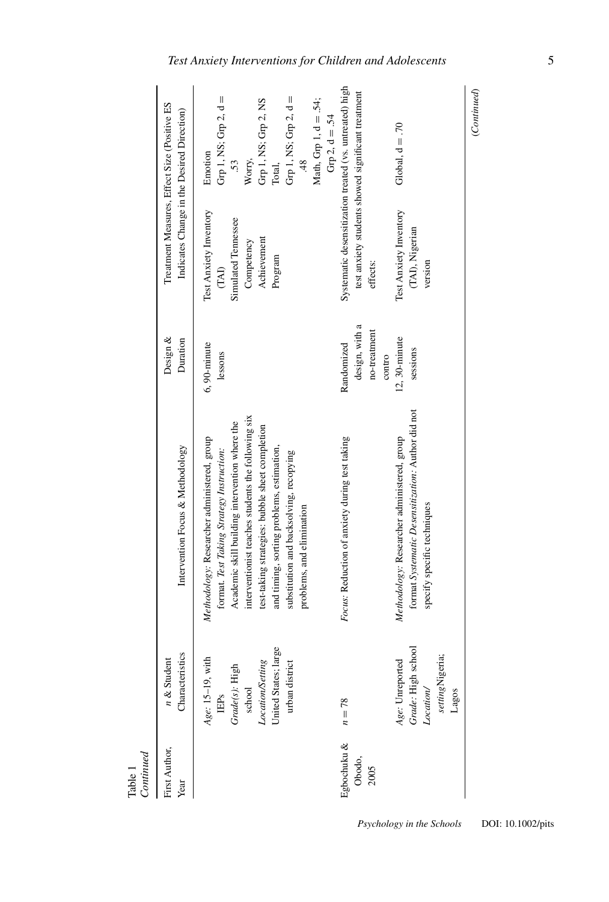| Continued<br>Table 1          |                                                                                                                           |                                                                                                                                                                                                                                                                                                                                                                          |                                                                                        |                                                                                               |                                                                                                                                                                                     |
|-------------------------------|---------------------------------------------------------------------------------------------------------------------------|--------------------------------------------------------------------------------------------------------------------------------------------------------------------------------------------------------------------------------------------------------------------------------------------------------------------------------------------------------------------------|----------------------------------------------------------------------------------------|-----------------------------------------------------------------------------------------------|-------------------------------------------------------------------------------------------------------------------------------------------------------------------------------------|
| First Author,<br>Year         | Characteristics<br>$n &$ Student                                                                                          | Intervention Focus & Methodology                                                                                                                                                                                                                                                                                                                                         | Design $&$<br>Duration                                                                 |                                                                                               | Treatment Measures, Effect Size (Positive ES<br>Indicates Change in the Desired Direction)                                                                                          |
|                               | United States; large<br>Age: 15-19, with<br>Location/Setting<br>urban district<br>Grade(s): High<br>school<br><b>IEPs</b> | interventionist teaches students the following six<br>Academic skill building intervention where the<br>test-taking strategies: bubble sheet completion<br>Methodology: Researcher administered, group<br>and timing, sorting problems, estimation,<br>format. Test Taking Strategy Instruction:<br>substitution and backsolving, recopying<br>problems, and elimination | $6, 90$ -minute<br>lessons                                                             | Test Anxiety Inventory<br>Simulated Tennessee<br>Achievement<br>Competency<br>Program<br>(BA) | $G_{\text{TP}}$ 1, NS; $G_{\text{TP}}$ 2, $d =$<br>Grp 1, NS; Grp 2, $d =$<br>Math, Grp 1, d = .54;<br>Grp 1, NS; Grp 2, NS<br>Emotion<br>Total,<br>Worry,<br>$\frac{48}{5}$<br>53. |
| Egbochuku &<br>Obodo,<br>2005 | Grade: High school<br>settingNigeria;<br>Age: Unreported<br>Location/<br>Lagos<br>$n = 78$                                | format Systematic Desensitization: Author did not<br>Focus: Reduction of anxiety during test taking<br>Methodology: Researcher administered, group<br>specify specific techniques                                                                                                                                                                                        | design, with a<br>no-treatment<br>$12, 30$ -minute<br>Randomized<br>sessions<br>contro | Test Anxiety Inventory<br>(TAI), Nigerian<br>effects:<br>version                              | Systematic desensitization treated (vs. untreated) high<br>test anxiety students showed significant treatment<br>Grp 2, d = .54<br>Global, $d = .70$                                |
|                               |                                                                                                                           |                                                                                                                                                                                                                                                                                                                                                                          |                                                                                        |                                                                                               | (Continued)                                                                                                                                                                         |

*Test Anxiety Interventions for Children and Adolescents* 5

*Psychology in the Schools* DOI: 10.1002/pits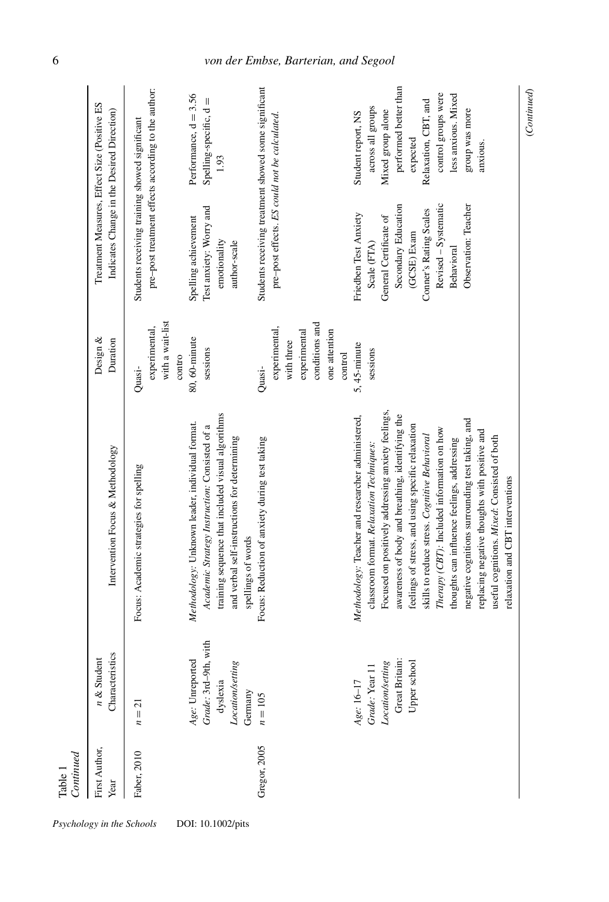| Continued<br>Table 1  |                                                                                    |                                                                                                                                                                                                                                                                                                                                                                                                                                                                                                                                                                                                    |                                                                                                     |                                                                                                                                                                                              |                                                                                                                                                                                                       |
|-----------------------|------------------------------------------------------------------------------------|----------------------------------------------------------------------------------------------------------------------------------------------------------------------------------------------------------------------------------------------------------------------------------------------------------------------------------------------------------------------------------------------------------------------------------------------------------------------------------------------------------------------------------------------------------------------------------------------------|-----------------------------------------------------------------------------------------------------|----------------------------------------------------------------------------------------------------------------------------------------------------------------------------------------------|-------------------------------------------------------------------------------------------------------------------------------------------------------------------------------------------------------|
| First Author,<br>Year | Characteristics<br>$n \&$ Student                                                  | Intervention Focus & Methodology                                                                                                                                                                                                                                                                                                                                                                                                                                                                                                                                                                   | Design $\&$<br>Duration                                                                             |                                                                                                                                                                                              | Treatment Measures, Effect Size (Positive ES<br>Indicates Change in the Desired Direction)                                                                                                            |
| Faber, 2010           | $n = 21$                                                                           | Focus: Academic strategies for spelling                                                                                                                                                                                                                                                                                                                                                                                                                                                                                                                                                            | with a wait-list<br>experimental,<br>contro<br>Quasi-                                               | Students receiving training showed significant                                                                                                                                               | pre-post treatment effects according to the author:                                                                                                                                                   |
|                       | Grade: 3rd-9th, with<br>Age: Unreported<br>Location/setting<br>dyslexia<br>Germany | training sequence that included visual algorithms<br>Methodology: Unknown leader, individual format.<br>Academic Strategy Instruction: Consisted of a<br>and verbal self-instructions for determining<br>spellings of words                                                                                                                                                                                                                                                                                                                                                                        | 80, 60-minute<br>sessions                                                                           | Test anxiety: Worry and<br>Spelling achievement<br>emotionality<br>author-scale                                                                                                              | Performance, $d = 3.56$<br>$\lvert \rvert$<br>Spelling-specific, d<br>1.93                                                                                                                            |
| Gregor, 2005          | $n = 105$                                                                          | Focus: Reduction of anxiety during test taking                                                                                                                                                                                                                                                                                                                                                                                                                                                                                                                                                     | conditions and<br>experimental,<br>experimental<br>one attention<br>with three<br>control<br>Quasi- | pre-post effects. ES could not be calculated.                                                                                                                                                | Students receiving treatment showed some significant                                                                                                                                                  |
|                       | Great Britain:<br>Location/setting<br>Upper school<br>Grade: Year 11<br>Age: 16-17 | Focused on positively addressing anxiety feelings,<br>awareness of body and breathing, identifying the<br>Methodology: Teacher and researcher administered,<br>negative cognitions surrounding test taking, and<br>feelings of stress, and using specific relaxation<br>Therapy (CBT): Included information on how<br>replacing negative thoughts with positive and<br>skills to reduce stress. Cognitive Behavioral<br>useful cognitions. Mixed: Consisted of both<br>thoughts can influence feelings, addressing<br>classroom format. Relaxation Techniques:<br>relaxation and CBT interventions | 5, 45-minute<br>sessions                                                                            | Secondary Education<br>Revised - Systematic<br>Observation: Teacher<br>Conner's Rating Scales<br>Friedben Test Anxiety<br>General Certificate of<br>(GCSE) Exam<br>Scale (FTA)<br>Behavioral | performed better than<br>control groups were<br>less anxious. Mixed<br>Relaxation, CBT, and<br>across all groups<br>group was more<br>Mixed group alone<br>Student report, NS<br>expected<br>anxious. |

(*Continued*)

6 *von der Embse, Barterian, and Segool*

*Psychology in the Schools* DOI: 10.1002/pits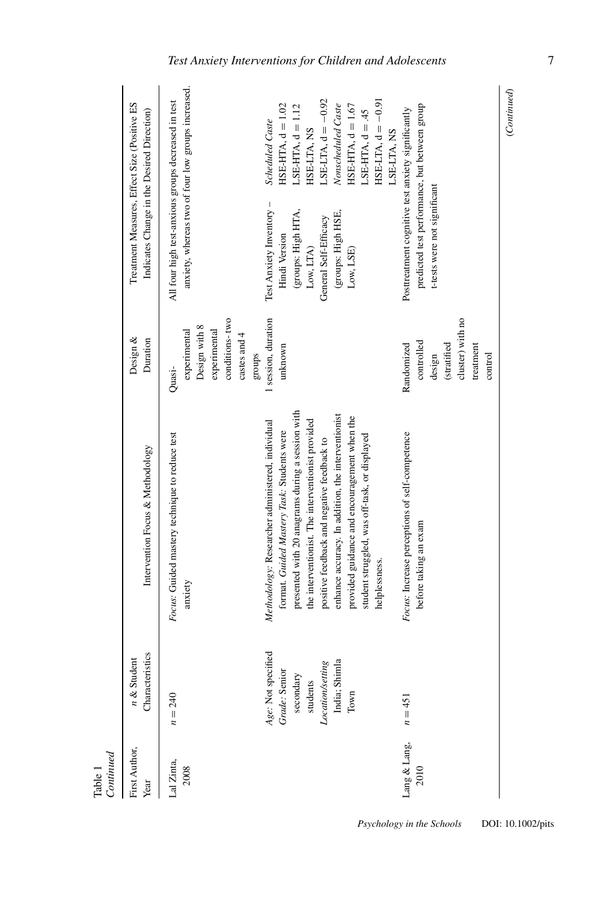| Continued<br>Table 1  |                                                                                                           |                                                                                                                                                                                                                                                                                                                                                                                                                               |                                                                                                     |                                                                                                                                                                                                                                                                                                                                                                                    |  |
|-----------------------|-----------------------------------------------------------------------------------------------------------|-------------------------------------------------------------------------------------------------------------------------------------------------------------------------------------------------------------------------------------------------------------------------------------------------------------------------------------------------------------------------------------------------------------------------------|-----------------------------------------------------------------------------------------------------|------------------------------------------------------------------------------------------------------------------------------------------------------------------------------------------------------------------------------------------------------------------------------------------------------------------------------------------------------------------------------------|--|
| First Author,<br>Year | Characteristics<br>$n \&$ Student                                                                         | Intervention Focus & Methodology                                                                                                                                                                                                                                                                                                                                                                                              | Design &<br>Duration                                                                                | Treatment Measures, Effect Size (Positive ES<br>Indicates Change in the Desired Direction)                                                                                                                                                                                                                                                                                         |  |
| Lal Zinta,<br>2008    | $n = 240$                                                                                                 | Focus: Guided mastery technique to reduce test<br>anxiety                                                                                                                                                                                                                                                                                                                                                                     | conditions-two<br>Design with 8<br>experimental<br>experimental<br>castes and 4<br>groups<br>Quasi- | anxiety, whereas two of four low groups increased.<br>All four high test-anxious groups decreased in test                                                                                                                                                                                                                                                                          |  |
|                       | Age: Not specified<br>India; Shimla<br>Location/setting<br>Grade: Senior<br>secondary<br>students<br>Town | presented with 20 anagrams during a session with<br>enhance accuracy. In addition, the interventionist<br>provided guidance and encouragement when the<br>the interventionist. The interventionist provided<br>Methodology: Researcher administered, individual<br>format. Guided Mastery Task: Students were<br>student struggled, was off-task, or displayed<br>positive feedback and negative feedback to<br>helplessness. | session, duration<br>unknown                                                                        | LSE-LTA, $d = -0.92$<br>$HSE-LTA$ , $d = -0.91$<br>$\text{HSE-HTA}, \text{d} = 1.67$<br>Nonscheduled Caste<br>$HSE-HTA, d = 1.02$<br>LSE-HTA, $d = 1.12$<br>LSE-HTA, $d = .45$<br><b>Scheduled Caste</b><br>HSE-LTA, NS<br>LSE-LTA, NS<br>Test Anxiety Inventory -<br>(groups: High HTA,<br>(groups: High HSE,<br>General Self-Efficacy<br>Hindi Version<br>Low, LTA)<br>Low, LSE) |  |
| Lang & Lang,<br>2010  | $n = 451$                                                                                                 | Focus: Increase perceptions of self-competence<br>before taking an exam                                                                                                                                                                                                                                                                                                                                                       | cluster) with no<br>controlled<br>(stratified<br>Randomized<br>treatment<br>control<br>design       | predicted test performance, but between group<br>Posttreatment cognitive test anxiety significantly<br>t-tests were not significant                                                                                                                                                                                                                                                |  |

# *Test Anxiety Interventions for Children and Adolescents* 7

(*Continued*)

 $\left(Continued\right)$ 

*Psychology in the Schools* DOI: 10.1002/pits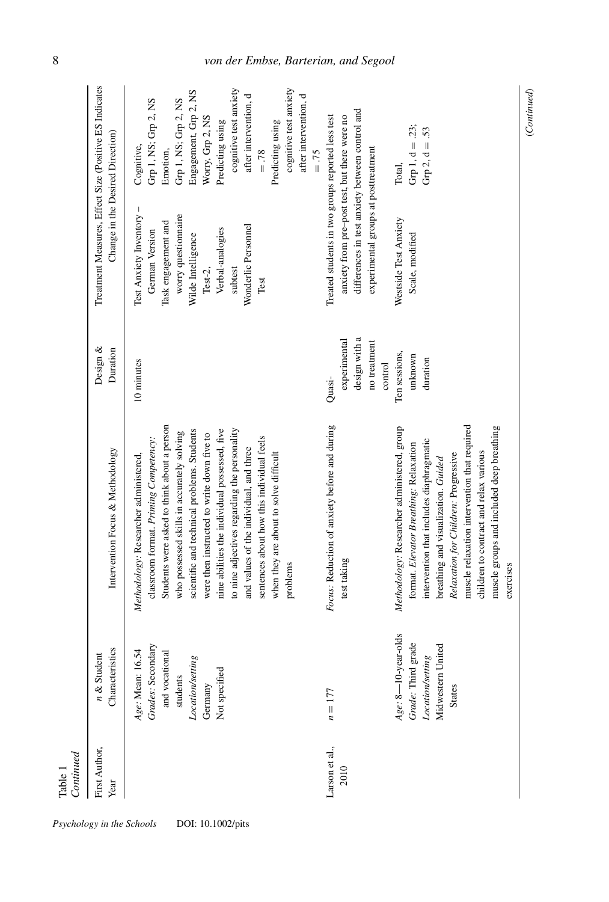| Continued<br>Table 1   |                                                                                                                     |                                                                                                                                                                                                                                                                                                                                                                                                                                                                                                                         |                                                                                                            |                                                                                                                                                                                                                                           |                                                                                                                                                                                                                                                                              |
|------------------------|---------------------------------------------------------------------------------------------------------------------|-------------------------------------------------------------------------------------------------------------------------------------------------------------------------------------------------------------------------------------------------------------------------------------------------------------------------------------------------------------------------------------------------------------------------------------------------------------------------------------------------------------------------|------------------------------------------------------------------------------------------------------------|-------------------------------------------------------------------------------------------------------------------------------------------------------------------------------------------------------------------------------------------|------------------------------------------------------------------------------------------------------------------------------------------------------------------------------------------------------------------------------------------------------------------------------|
| First Author,<br>Year  | Characteristics<br>$n &$ Student                                                                                    | Intervention Focus & Methodology                                                                                                                                                                                                                                                                                                                                                                                                                                                                                        | Design $&$<br>Duration                                                                                     |                                                                                                                                                                                                                                           | Treatment Measures, Effect Size (Positive ES Indicates<br>Change in the Desired Direction)                                                                                                                                                                                   |
|                        | Grades: Secondary<br>Age: Mean: 16.54<br>and vocational<br>Location/setting<br>Not specified<br>students<br>Germany | Students were asked to think about a person<br>nine abilities the individual possessed, five<br>scientific and technical problems. Students<br>to nine adjectives regarding the personality<br>who possessed skills in accurately solving<br>were then instructed to write down five to<br>sentences about how this individual feels<br>classroom format. Priming Competency:<br>and values of the individual, and three<br>when they are about to solve difficult<br>Methodology: Researcher administered,<br>problems | 10 minutes                                                                                                 | Test Anxiety Inventory -<br>worry questionnaire<br>Task engagement and<br>Wonderlic Personnel<br>Verbal-analogies<br>German Version<br>Wilde Intelligence<br>Test-2,<br>subtest<br>Test                                                   | cognitive test anxiety<br>cognitive test anxiety<br>Engagement, Grp 2, NS<br>after intervention, d<br>after intervention, d<br>Grp 1, NS; Grp 2, NS<br>Grp 1, NS; Grp 2, NS<br>Worry, Grp 2, NS<br>Predicting using<br>Predicting using<br>Emotion,<br>Cognitive,<br>$= .78$ |
| Larson et al.,<br>2010 | Age: 8-10-year-olds<br>Grade: Third grade<br>Midwestern United<br>Location/setting<br><b>States</b><br>$n = 177$    | Focus: Reduction of anxiety before and during<br>muscle relaxation intervention that required<br>muscle groups and included deep breathing<br>Methodology: Researcher administered, group<br>intervention that includes diaphragmatic<br>format. Elevator Breathing: Relaxation<br>children to contract and relax various<br>Relaxation for Children: Progressive<br>breathing and visualization. Guided<br>test taking<br>exercises                                                                                    | design with a<br>experimental<br>no treatment<br>Ten sessions,<br>unknown<br>duration<br>control<br>Quasi- | differences in test anxiety between control and<br>Treated students in two groups reported less test<br>anxiety from pre-post test, but there were no<br>experimental groups at posttreatment<br>Westside Test Anxiety<br>Scale, modified | Grp 1, $d = .23$ ;<br>Grp 2, $d = .53$<br>$= .75$<br>Total,                                                                                                                                                                                                                  |

(*Continued*)

 $(Continued)$ 

## 8 *von der Embse, Barterian, and Segool*

*Psychology in the Schools* DOI: 10.1002/pits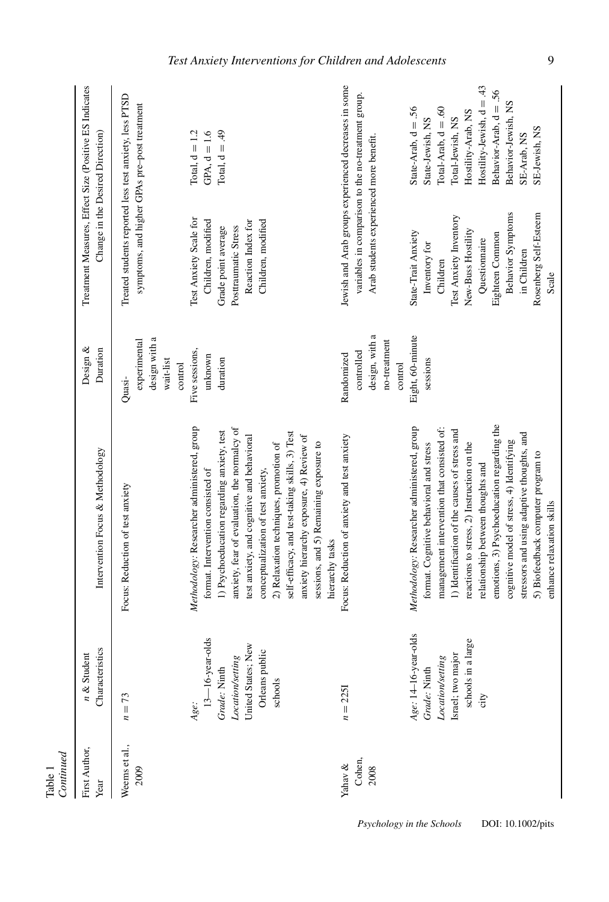| Continued<br>Table 1      |                                                                                                                   |                                                                                                                                                                                                                                                                                                                                                                                                                                                                                      |                                                                       |                                                                                                                                                                                                                   |                                                                                                                                                                                                                                |
|---------------------------|-------------------------------------------------------------------------------------------------------------------|--------------------------------------------------------------------------------------------------------------------------------------------------------------------------------------------------------------------------------------------------------------------------------------------------------------------------------------------------------------------------------------------------------------------------------------------------------------------------------------|-----------------------------------------------------------------------|-------------------------------------------------------------------------------------------------------------------------------------------------------------------------------------------------------------------|--------------------------------------------------------------------------------------------------------------------------------------------------------------------------------------------------------------------------------|
| First Author,<br>Year     | Characteristics<br>$n \&$ Student                                                                                 | Intervention Focus & Methodology                                                                                                                                                                                                                                                                                                                                                                                                                                                     | Design &<br>Duration                                                  |                                                                                                                                                                                                                   | Treatment Measures, Effect Size (Positive ES Indicates<br>Change in the Desired Direction)                                                                                                                                     |
| Weems et al.,<br>2009     | $n=73$                                                                                                            | Focus: Reduction of test anxiety                                                                                                                                                                                                                                                                                                                                                                                                                                                     | design with a<br>experimental<br>wait-list<br>control<br>Quasi-       | Treated students reported less test anxiety, less PTSD<br>symptoms, and higher GPAs pre-post treatment                                                                                                            |                                                                                                                                                                                                                                |
|                           | $13-16$ -year-olds<br>United States; New<br>Orleans public<br>Location/setting<br>Grade: Ninth<br>schools<br>Age: | Methodology: Researcher administered, group<br>anxiety, fear of evaluation, the normalcy of<br>1) Psychoeducation regarding anxiety, test<br>self-efficacy, and test-taking skills, 3) Test<br>test anxiety, and cognitive and behavioral<br>anxiety hierarchy exposure, 4) Review of<br>sessions, and 5) Remaining exposure to<br>2) Relaxation techniques, promotion of<br>format. Intervention consisted of<br>conceptualization of test anxiety,<br>hierarchy tasks              | Five sessions,<br>unknown<br>duration                                 | Test Anxiety Scale for<br>Children, modified<br>Children, modified<br>Reaction Index for<br>Posttraumatic Stress<br>Grade point average                                                                           | Total, $d = .49$<br>Total, $d = 1.2$<br>$GPA, d = 1.6$                                                                                                                                                                         |
| Cohen,<br>Yahav &<br>2008 | $n = 2251$                                                                                                        | Focus: Reduction of anxiety and test anxiety                                                                                                                                                                                                                                                                                                                                                                                                                                         | design, with a<br>no-treatment<br>controlled<br>Randomized<br>control | Arab students experienced more benefit.                                                                                                                                                                           | Jewish and Arab groups experienced decreases in some<br>variables in comparison to the no-treatment group.                                                                                                                     |
|                           | Age: 14-16-year-olds<br>schools in a large<br>Israel; two major<br>Location/setting<br>Grade: Ninth<br>city       | emotions, 3) Psychoeducation regarding the<br>Methodology: Researcher administered, group<br>management intervention that consisted of:<br>1) Identification of the causes of stress and<br>stressors and using adaptive thoughts, and<br>cognitive model of stress, 4) Identifying<br>format. Cognitive behavioral and stress<br>reactions to stress, 2) Instruction on the<br>5) Biofeedback computer program to<br>relationship between thoughts and<br>enhance relaxation skills | Eight, 60-minute<br>sessions                                          | <b>Behavior Symptoms</b><br>Rosenberg Self-Esteem<br>Test Anxiety Inventory<br>New-Buss Hostility<br>State-Trait Anxiety<br>Eighteen Common<br>Questionnaire<br>Inventory for<br>in Children<br>Children<br>Scale | Hostility-Jewish, $d = .43$<br>Behavior-Arab, $d = .56$<br>Behavior-Jewish, NS<br>State-Arab, $d = .56$<br>$Total-Arab, d = .60$<br>Hostility-Arab, NS<br>State-Jewish, NS<br>Total-Jewish, NS<br>SE-Jewish, NS<br>SE-Arab, NS |

*Psychology in the Schools* DOI: 10.1002/pits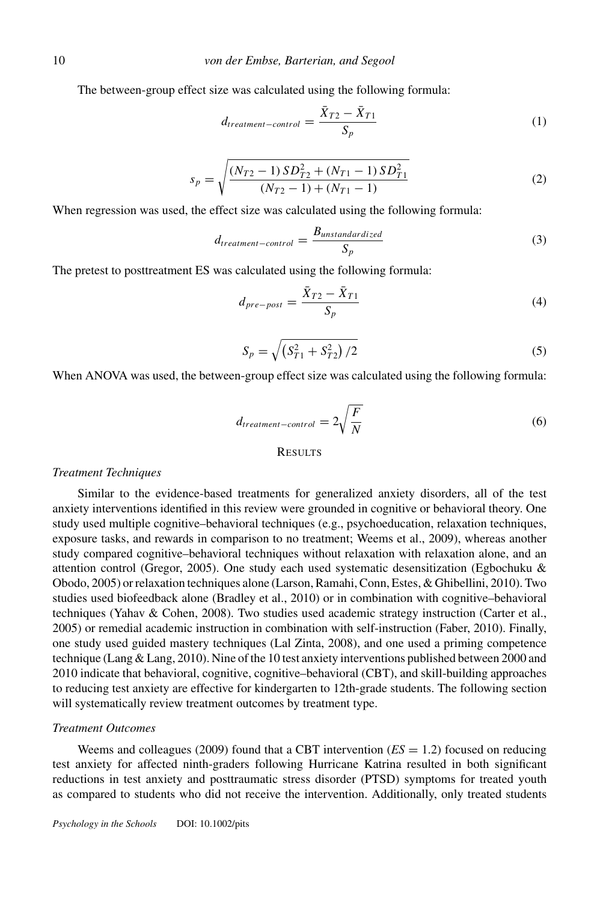The between-group effect size was calculated using the following formula:

$$
d_{treatment-control} = \frac{\bar{X}_{T2} - \bar{X}_{T1}}{S_p} \tag{1}
$$

$$
s_p = \sqrt{\frac{(N_{T2} - 1) SD_{T2}^2 + (N_{T1} - 1) SD_{T1}^2}{(N_{T2} - 1) + (N_{T1} - 1)}}
$$
(2)

When regression was used, the effect size was calculated using the following formula:

$$
d_{treatment-control} = \frac{B_{unstandardized}}{S_p} \tag{3}
$$

The pretest to posttreatment ES was calculated using the following formula:

$$
d_{pre-post} = \frac{\bar{X}_{T2} - \bar{X}_{T1}}{S_p} \tag{4}
$$

$$
S_p = \sqrt{\left(S_{T1}^2 + S_{T2}^2\right)/2}
$$
\n(5)

When ANOVA was used, the between-group effect size was calculated using the following formula:

$$
d_{treatment-control} = 2\sqrt{\frac{F}{N}}
$$
 (6)

## **RESULTS**

#### *Treatment Techniques*

Similar to the evidence-based treatments for generalized anxiety disorders, all of the test anxiety interventions identified in this review were grounded in cognitive or behavioral theory. One study used multiple cognitive–behavioral techniques (e.g., psychoeducation, relaxation techniques, exposure tasks, and rewards in comparison to no treatment; Weems et al., 2009), whereas another study compared cognitive–behavioral techniques without relaxation with relaxation alone, and an attention control (Gregor, 2005). One study each used systematic desensitization (Egbochuku & Obodo, 2005) or relaxation techniques alone (Larson, Ramahi, Conn, Estes, & Ghibellini, 2010). Two studies used biofeedback alone (Bradley et al., 2010) or in combination with cognitive–behavioral techniques (Yahav & Cohen, 2008). Two studies used academic strategy instruction (Carter et al., 2005) or remedial academic instruction in combination with self-instruction (Faber, 2010). Finally, one study used guided mastery techniques (Lal Zinta, 2008), and one used a priming competence technique (Lang & Lang, 2010). Nine of the 10 test anxiety interventions published between 2000 and 2010 indicate that behavioral, cognitive, cognitive–behavioral (CBT), and skill-building approaches to reducing test anxiety are effective for kindergarten to 12th-grade students. The following section will systematically review treatment outcomes by treatment type.

## *Treatment Outcomes*

Weems and colleagues (2009) found that a CBT intervention (*ES* = 1.2) focused on reducing test anxiety for affected ninth-graders following Hurricane Katrina resulted in both significant reductions in test anxiety and posttraumatic stress disorder (PTSD) symptoms for treated youth as compared to students who did not receive the intervention. Additionally, only treated students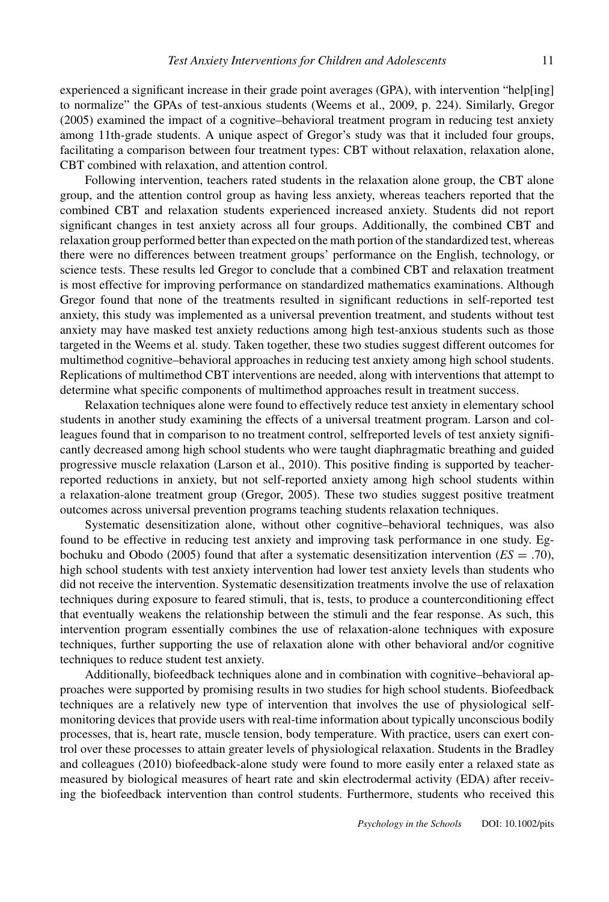experienced a significant increase in their grade point averages (GPA), with intervention "help[ing] to normalize" the GPAs of test-anxious students (Weems et al., 2009, p. 224). Similarly, Gregor (2005) examined the impact of a cognitive–behavioral treatment program in reducing test anxiety among 11th-grade students. A unique aspect of Gregor's study was that it included four groups, facilitating a comparison between four treatment types: CBT without relaxation, relaxation alone, CBT combined with relaxation, and attention control.

Following intervention, teachers rated students in the relaxation alone group, the CBT alone group, and the attention control group as having less anxiety, whereas teachers reported that the combined CBT and relaxation students experienced increased anxiety. Students did not report significant changes in test anxiety across all four groups. Additionally, the combined CBT and relaxation group performed better than expected on the math portion of the standardized test, whereas there were no differences between treatment groups' performance on the English, technology, or science tests. These results led Gregor to conclude that a combined CBT and relaxation treatment is most effective for improving performance on standardized mathematics examinations. Although Gregor found that none of the treatments resulted in significant reductions in self-reported test anxiety, this study was implemented as a universal prevention treatment, and students without test anxiety may have masked test anxiety reductions among high test-anxious students such as those targeted in the Weems et al. study. Taken together, these two studies suggest different outcomes for multimethod cognitive–behavioral approaches in reducing test anxiety among high school students. Replications of multimethod CBT interventions are needed, along with interventions that attempt to determine what specific components of multimethod approaches result in treatment success.

Relaxation techniques alone were found to effectively reduce test anxiety in elementary school students in another study examining the effects of a universal treatment program. Larson and colleagues found that in comparison to no treatment control, selfreported levels of test anxiety significantly decreased among high school students who were taught diaphragmatic breathing and guided progressive muscle relaxation (Larson et al., 2010). This positive finding is supported by teacherreported reductions in anxiety, but not self-reported anxiety among high school students within a relaxation-alone treatment group (Gregor, 2005). These two studies suggest positive treatment outcomes across universal prevention programs teaching students relaxation techniques.

Systematic desensitization alone, without other cognitive–behavioral techniques, was also found to be effective in reducing test anxiety and improving task performance in one study. Egbochuku and Obodo (2005) found that after a systematic desensitization intervention (*ES* = .70), high school students with test anxiety intervention had lower test anxiety levels than students who did not receive the intervention. Systematic desensitization treatments involve the use of relaxation techniques during exposure to feared stimuli, that is, tests, to produce a counterconditioning effect that eventually weakens the relationship between the stimuli and the fear response. As such, this intervention program essentially combines the use of relaxation-alone techniques with exposure techniques, further supporting the use of relaxation alone with other behavioral and/or cognitive techniques to reduce student test anxiety.

Additionally, biofeedback techniques alone and in combination with cognitive–behavioral approaches were supported by promising results in two studies for high school students. Biofeedback techniques are a relatively new type of intervention that involves the use of physiological selfmonitoring devices that provide users with real-time information about typically unconscious bodily processes, that is, heart rate, muscle tension, body temperature. With practice, users can exert control over these processes to attain greater levels of physiological relaxation. Students in the Bradley and colleagues (2010) biofeedback-alone study were found to more easily enter a relaxed state as measured by biological measures of heart rate and skin electrodermal activity (EDA) after receiving the biofeedback intervention than control students. Furthermore, students who received this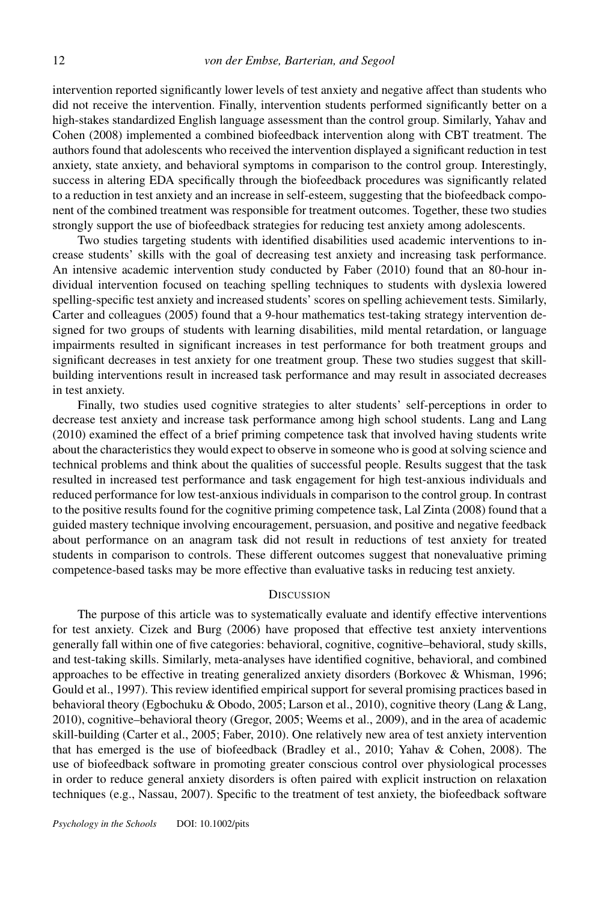intervention reported significantly lower levels of test anxiety and negative affect than students who did not receive the intervention. Finally, intervention students performed significantly better on a high-stakes standardized English language assessment than the control group. Similarly, Yahav and Cohen (2008) implemented a combined biofeedback intervention along with CBT treatment. The authors found that adolescents who received the intervention displayed a significant reduction in test anxiety, state anxiety, and behavioral symptoms in comparison to the control group. Interestingly, success in altering EDA specifically through the biofeedback procedures was significantly related to a reduction in test anxiety and an increase in self-esteem, suggesting that the biofeedback component of the combined treatment was responsible for treatment outcomes. Together, these two studies strongly support the use of biofeedback strategies for reducing test anxiety among adolescents.

Two studies targeting students with identified disabilities used academic interventions to increase students' skills with the goal of decreasing test anxiety and increasing task performance. An intensive academic intervention study conducted by Faber (2010) found that an 80-hour individual intervention focused on teaching spelling techniques to students with dyslexia lowered spelling-specific test anxiety and increased students' scores on spelling achievement tests. Similarly, Carter and colleagues (2005) found that a 9-hour mathematics test-taking strategy intervention designed for two groups of students with learning disabilities, mild mental retardation, or language impairments resulted in significant increases in test performance for both treatment groups and significant decreases in test anxiety for one treatment group. These two studies suggest that skillbuilding interventions result in increased task performance and may result in associated decreases in test anxiety.

Finally, two studies used cognitive strategies to alter students' self-perceptions in order to decrease test anxiety and increase task performance among high school students. Lang and Lang (2010) examined the effect of a brief priming competence task that involved having students write about the characteristics they would expect to observe in someone who is good at solving science and technical problems and think about the qualities of successful people. Results suggest that the task resulted in increased test performance and task engagement for high test-anxious individuals and reduced performance for low test-anxious individuals in comparison to the control group. In contrast to the positive results found for the cognitive priming competence task, Lal Zinta (2008) found that a guided mastery technique involving encouragement, persuasion, and positive and negative feedback about performance on an anagram task did not result in reductions of test anxiety for treated students in comparison to controls. These different outcomes suggest that nonevaluative priming competence-based tasks may be more effective than evaluative tasks in reducing test anxiety.

#### **DISCUSSION**

The purpose of this article was to systematically evaluate and identify effective interventions for test anxiety. Cizek and Burg (2006) have proposed that effective test anxiety interventions generally fall within one of five categories: behavioral, cognitive, cognitive–behavioral, study skills, and test-taking skills. Similarly, meta-analyses have identified cognitive, behavioral, and combined approaches to be effective in treating generalized anxiety disorders (Borkovec & Whisman, 1996; Gould et al., 1997). This review identified empirical support for several promising practices based in behavioral theory (Egbochuku & Obodo, 2005; Larson et al., 2010), cognitive theory (Lang & Lang, 2010), cognitive–behavioral theory (Gregor, 2005; Weems et al., 2009), and in the area of academic skill-building (Carter et al., 2005; Faber, 2010). One relatively new area of test anxiety intervention that has emerged is the use of biofeedback (Bradley et al., 2010; Yahav & Cohen, 2008). The use of biofeedback software in promoting greater conscious control over physiological processes in order to reduce general anxiety disorders is often paired with explicit instruction on relaxation techniques (e.g., Nassau, 2007). Specific to the treatment of test anxiety, the biofeedback software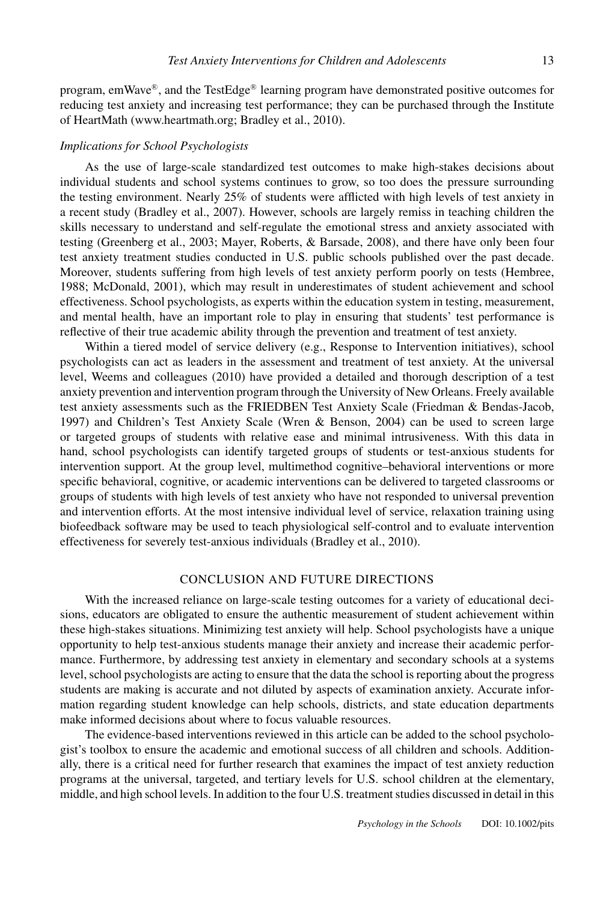program, emWave®, and the TestEdge® learning program have demonstrated positive outcomes for reducing test anxiety and increasing test performance; they can be purchased through the Institute of HeartMath (www.heartmath.org; Bradley et al., 2010).

## *Implications for School Psychologists*

As the use of large-scale standardized test outcomes to make high-stakes decisions about individual students and school systems continues to grow, so too does the pressure surrounding the testing environment. Nearly 25% of students were afflicted with high levels of test anxiety in a recent study (Bradley et al., 2007). However, schools are largely remiss in teaching children the skills necessary to understand and self-regulate the emotional stress and anxiety associated with testing (Greenberg et al., 2003; Mayer, Roberts, & Barsade, 2008), and there have only been four test anxiety treatment studies conducted in U.S. public schools published over the past decade. Moreover, students suffering from high levels of test anxiety perform poorly on tests (Hembree, 1988; McDonald, 2001), which may result in underestimates of student achievement and school effectiveness. School psychologists, as experts within the education system in testing, measurement, and mental health, have an important role to play in ensuring that students' test performance is reflective of their true academic ability through the prevention and treatment of test anxiety.

Within a tiered model of service delivery (e.g., Response to Intervention initiatives), school psychologists can act as leaders in the assessment and treatment of test anxiety. At the universal level, Weems and colleagues (2010) have provided a detailed and thorough description of a test anxiety prevention and intervention program through the University of New Orleans. Freely available test anxiety assessments such as the FRIEDBEN Test Anxiety Scale (Friedman & Bendas-Jacob, 1997) and Children's Test Anxiety Scale (Wren & Benson, 2004) can be used to screen large or targeted groups of students with relative ease and minimal intrusiveness. With this data in hand, school psychologists can identify targeted groups of students or test-anxious students for intervention support. At the group level, multimethod cognitive–behavioral interventions or more specific behavioral, cognitive, or academic interventions can be delivered to targeted classrooms or groups of students with high levels of test anxiety who have not responded to universal prevention and intervention efforts. At the most intensive individual level of service, relaxation training using biofeedback software may be used to teach physiological self-control and to evaluate intervention effectiveness for severely test-anxious individuals (Bradley et al., 2010).

## CONCLUSION AND FUTURE DIRECTIONS

With the increased reliance on large-scale testing outcomes for a variety of educational decisions, educators are obligated to ensure the authentic measurement of student achievement within these high-stakes situations. Minimizing test anxiety will help. School psychologists have a unique opportunity to help test-anxious students manage their anxiety and increase their academic performance. Furthermore, by addressing test anxiety in elementary and secondary schools at a systems level, school psychologists are acting to ensure that the data the school is reporting about the progress students are making is accurate and not diluted by aspects of examination anxiety. Accurate information regarding student knowledge can help schools, districts, and state education departments make informed decisions about where to focus valuable resources.

The evidence-based interventions reviewed in this article can be added to the school psychologist's toolbox to ensure the academic and emotional success of all children and schools. Additionally, there is a critical need for further research that examines the impact of test anxiety reduction programs at the universal, targeted, and tertiary levels for U.S. school children at the elementary, middle, and high school levels. In addition to the four U.S. treatment studies discussed in detail in this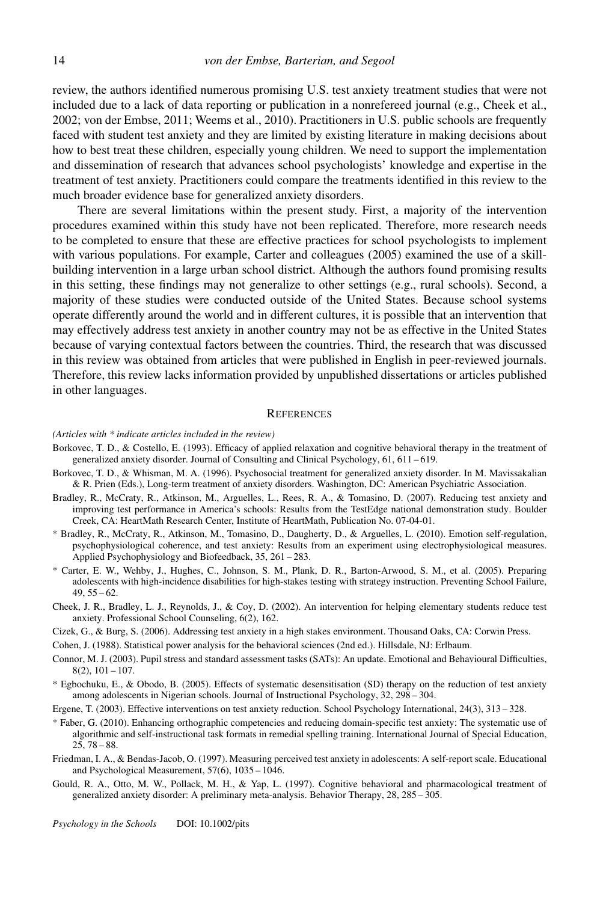review, the authors identified numerous promising U.S. test anxiety treatment studies that were not included due to a lack of data reporting or publication in a nonrefereed journal (e.g., Cheek et al., 2002; von der Embse, 2011; Weems et al., 2010). Practitioners in U.S. public schools are frequently faced with student test anxiety and they are limited by existing literature in making decisions about how to best treat these children, especially young children. We need to support the implementation and dissemination of research that advances school psychologists' knowledge and expertise in the treatment of test anxiety. Practitioners could compare the treatments identified in this review to the much broader evidence base for generalized anxiety disorders.

There are several limitations within the present study. First, a majority of the intervention procedures examined within this study have not been replicated. Therefore, more research needs to be completed to ensure that these are effective practices for school psychologists to implement with various populations. For example, Carter and colleagues (2005) examined the use of a skillbuilding intervention in a large urban school district. Although the authors found promising results in this setting, these findings may not generalize to other settings (e.g., rural schools). Second, a majority of these studies were conducted outside of the United States. Because school systems operate differently around the world and in different cultures, it is possible that an intervention that may effectively address test anxiety in another country may not be as effective in the United States because of varying contextual factors between the countries. Third, the research that was discussed in this review was obtained from articles that were published in English in peer-reviewed journals. Therefore, this review lacks information provided by unpublished dissertations or articles published in other languages.

#### **REFERENCES**

#### *(Articles with \* indicate articles included in the review)*

- Borkovec, T. D., & Costello, E. (1993). Efficacy of applied relaxation and cognitive behavioral therapy in the treatment of generalized anxiety disorder. Journal of Consulting and Clinical Psychology, 61, 611 – 619.
- Borkovec, T. D., & Whisman, M. A. (1996). Psychosocial treatment for generalized anxiety disorder. In M. Mavissakalian & R. Prien (Eds.), Long-term treatment of anxiety disorders. Washington, DC: American Psychiatric Association.
- Bradley, R., McCraty, R., Atkinson, M., Arguelles, L., Rees, R. A., & Tomasino, D. (2007). Reducing test anxiety and improving test performance in America's schools: Results from the TestEdge national demonstration study. Boulder Creek, CA: HeartMath Research Center, Institute of HeartMath, Publication No. 07-04-01.
- \* Bradley, R., McCraty, R., Atkinson, M., Tomasino, D., Daugherty, D., & Arguelles, L. (2010). Emotion self-regulation, psychophysiological coherence, and test anxiety: Results from an experiment using electrophysiological measures. Applied Psychophysiology and Biofeedback, 35, 261 – 283.
- \* Carter, E. W., Wehby, J., Hughes, C., Johnson, S. M., Plank, D. R., Barton-Arwood, S. M., et al. (2005). Preparing adolescents with high-incidence disabilities for high-stakes testing with strategy instruction. Preventing School Failure,  $49, 55 - 62.$
- Cheek, J. R., Bradley, L. J., Reynolds, J., & Coy, D. (2002). An intervention for helping elementary students reduce test anxiety. Professional School Counseling, 6(2), 162.
- Cizek, G., & Burg, S. (2006). Addressing test anxiety in a high stakes environment. Thousand Oaks, CA: Corwin Press.

Cohen, J. (1988). Statistical power analysis for the behavioral sciences (2nd ed.). Hillsdale, NJ: Erlbaum.

- Connor, M. J. (2003). Pupil stress and standard assessment tasks (SATs): An update. Emotional and Behavioural Difficulties,  $8(2)$ ,  $101 - 107$ .
- \* Egbochuku, E., & Obodo, B. (2005). Effects of systematic desensitisation (SD) therapy on the reduction of test anxiety among adolescents in Nigerian schools. Journal of Instructional Psychology, 32, 298 – 304.

Ergene, T. (2003). Effective interventions on test anxiety reduction. School Psychology International, 24(3), 313 – 328.

- \* Faber, G. (2010). Enhancing orthographic competencies and reducing domain-specific test anxiety: The systematic use of algorithmic and self-instructional task formats in remedial spelling training. International Journal of Special Education, 25, 78 – 88.
- Friedman, I. A., & Bendas-Jacob, O. (1997). Measuring perceived test anxiety in adolescents: A self-report scale. Educational and Psychological Measurement, 57(6), 1035 – 1046.
- Gould, R. A., Otto, M. W., Pollack, M. H., & Yap, L. (1997). Cognitive behavioral and pharmacological treatment of generalized anxiety disorder: A preliminary meta-analysis. Behavior Therapy, 28, 285 – 305.